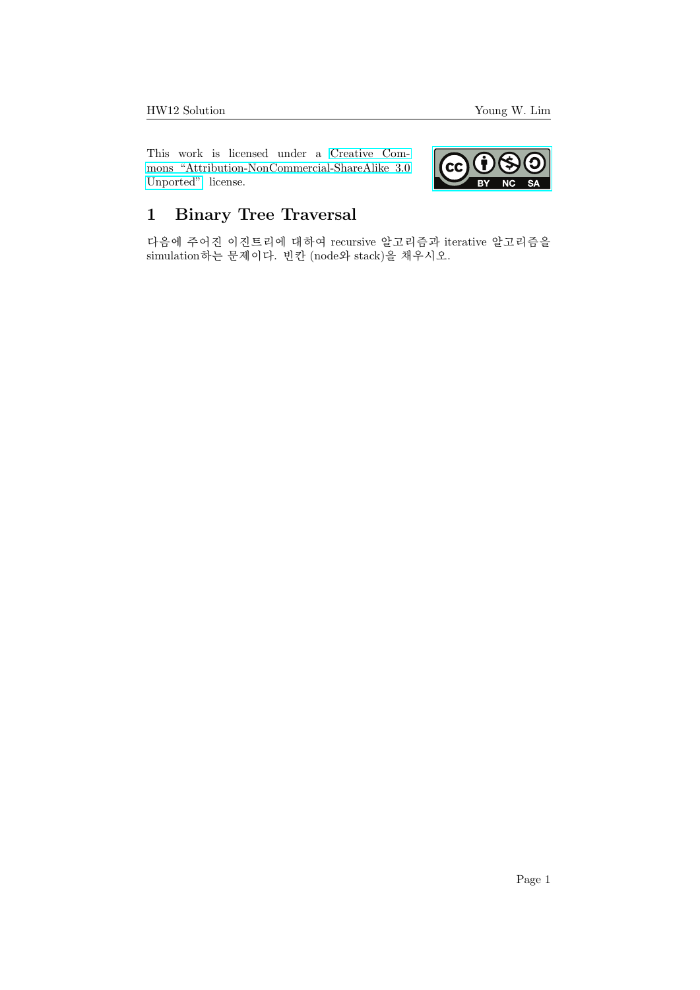This work is licensed under a [Creative Com](https://creativecommons.org/licenses/by-nc-sa/3.0/deed.en)[mons "Attribution-NonCommercial-ShareAlike 3.0](https://creativecommons.org/licenses/by-nc-sa/3.0/deed.en) [Unported"](https://creativecommons.org/licenses/by-nc-sa/3.0/deed.en) license.



## 1 Binary Tree Traversal

다음에 주어진 이진트리에 대하여 recursive 알고리즘과 iterative 알고리즘을 simulation하는 문제이다. 빈칸 (node와 stack)을 채우시오.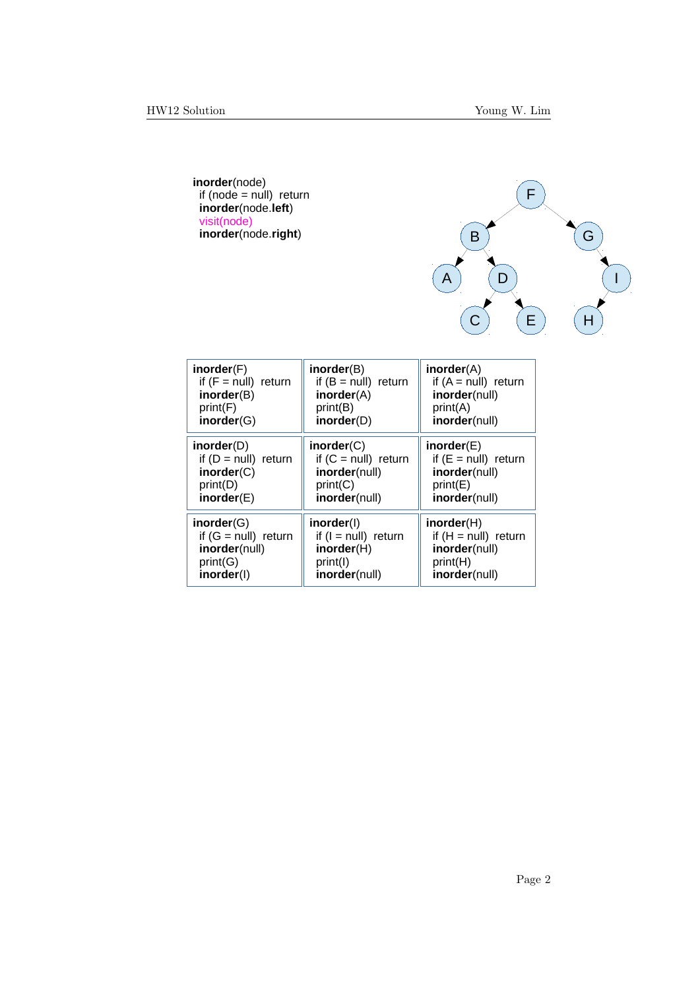| inorder(node)<br>if (node $=$ null) return<br>inorder(node.left)<br>visit(node)<br>inorder(node.right) |                        | F<br>B<br>Α<br>D<br>E<br>С | G<br>Н |
|--------------------------------------------------------------------------------------------------------|------------------------|----------------------------|--------|
| inorder(F)                                                                                             | inorder(B)             | inorder(A)                 |        |
| if $(F = null)$ return                                                                                 | if $(B = null)$ return | if $(A = null)$ return     |        |
| inorder(B)                                                                                             | inorder(A)             | inorder(null)              |        |
| print(F)                                                                                               | print(B)               | print(A)                   |        |
| inorder(G)                                                                                             | inorder(D)             | inorder(null)              |        |
| inorder(D)                                                                                             | inorder(C)             | inorder(E)                 |        |
| if $(D = null)$ return                                                                                 | if $(C = null)$ return | if $(E = null)$ return     |        |
| inorder(C)                                                                                             | inorder(null)          | inorder(null)              |        |
| print(D)                                                                                               | print(C)               | print(E)                   |        |
| inorder(E)                                                                                             | inorder(null)          | inorder(null)              |        |
| inorder(G)                                                                                             | inorder(I)             | inorder(H)                 |        |
| if $(G = null)$ return                                                                                 | if $(I = null)$ return | if $(H = null)$ return     |        |
| inorder(null)                                                                                          | inorder(H)             | inorder(null)              |        |
| print(G)                                                                                               | print(I)               | print(H)                   |        |
| inorder(I)                                                                                             | inorder(null)          | inorder(null)              |        |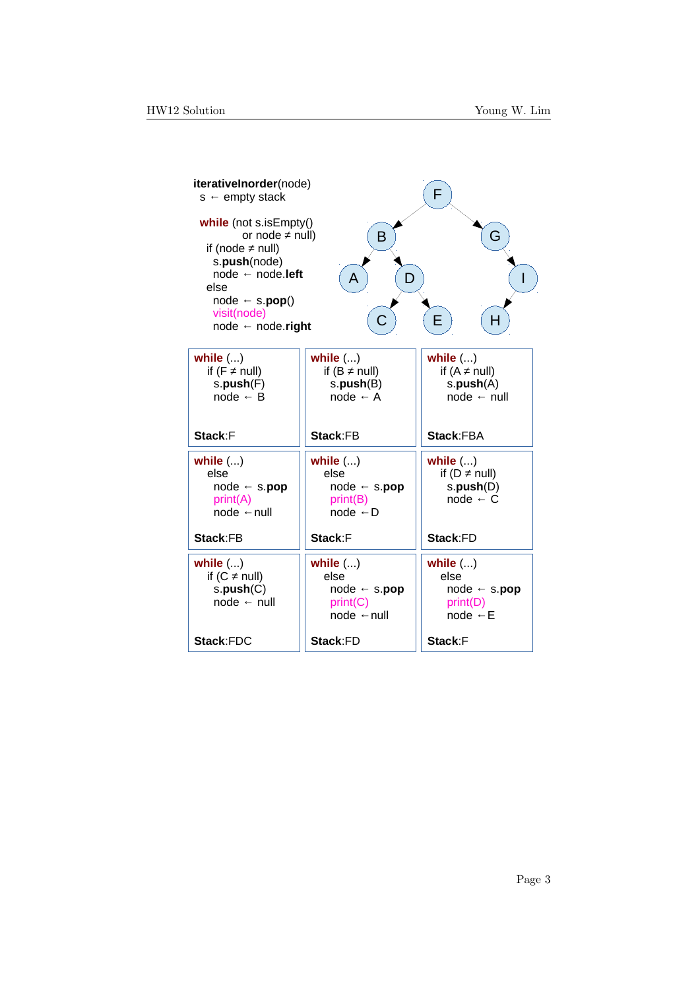| iterativeInorder(node)<br>$s \leftarrow$ empty stack                                                                                                                                                                | F                                                                                     |                                                                                  |  |
|---------------------------------------------------------------------------------------------------------------------------------------------------------------------------------------------------------------------|---------------------------------------------------------------------------------------|----------------------------------------------------------------------------------|--|
| while (not s.isEmpty()<br>or node $\neq$ null)<br>if (node $\neq$ null)<br>s.push(node)<br>$node \leftarrow node$ . <b>left</b><br>else<br>$node \leftarrow s.pop()$<br>visit(node)<br>$node \leftarrow node.right$ | B<br>A<br>D                                                                           | Ġ<br>ı<br>Ε<br>н                                                                 |  |
| while $()$<br>if (F $\neq$ null)<br>s.push(F)<br>$node \leftarrow B$                                                                                                                                                | while $()$<br>if $(B \neq null)$<br>s.push(B)<br>$node \leftarrow A$                  | while $()$<br>if $(A \neq null)$<br>s.push(A)<br>$node \leftarrow null$          |  |
|                                                                                                                                                                                                                     |                                                                                       |                                                                                  |  |
| Stack:F                                                                                                                                                                                                             | Stack:FB                                                                              | Stack:FBA                                                                        |  |
| while $()$<br>else<br>$node \leftarrow s.pop$<br>print(A)<br>$node \leftarrow null$                                                                                                                                 | while $()$<br>else<br>$node \leftarrow s.pop$<br>print(B)<br>node $\leftarrow$ D      | while $()$<br>if ( $D \neq null$ )<br>s.push(D)<br>node $\leftarrow$ C           |  |
| Stack:FB                                                                                                                                                                                                            | Stack:F                                                                               | Stack:FD                                                                         |  |
| while $()$<br>if $(C \neq null)$<br>s.push(C)<br>$node \leftarrow null$                                                                                                                                             | while $()$<br>else<br>node $\leftarrow$ s.pop<br>print(C)<br>$node$ $\leftarrow$ null | while $()$<br>else<br>node $\leftarrow$ s.pop<br>print(D)<br>node $\leftarrow$ E |  |